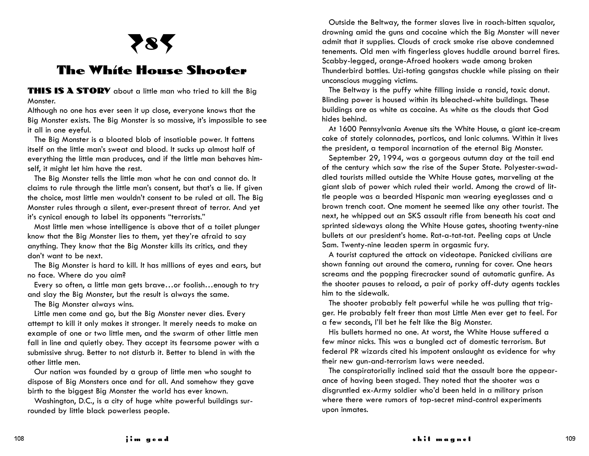## 4**8**5

## **The White House Shooter**

**THIS IS A STORY** about a little man who tried to kill the Big Monster.

Although no one has ever seen it up close, everyone knows that the Big Monster exists. The Big Monster is so massive, it's impossible to see it all in one eyeful.

The Big Monster is a bloated blob of insatiable power. It fattens itself on the little man's sweat and blood. It sucks up almost half of everything the little man produces, and if the little man behaves himself, it might let him have the rest.

The Big Monster tells the little man what he can and cannot do. It claims to rule through the little man's consent, but that's a lie. If given the choice, most little men wouldn't consent to be ruled at all. The Big Monster rules through a silent, ever-present threat of terror. And yet it's cynical enough to label its opponents "terrorists."

Most little men whose intelligence is above that of a toilet plunger know that the Big Monster lies to them, yet they're afraid to say anything. They know that the Big Monster kills its critics, and they don't want to be next.

The Big Monster is hard to kill. It has millions of eyes and ears, but no face. Where do you aim?

Every so often, a little man gets brave…or foolish…enough to try and slay the Big Monster, but the result is always the same.

The Big Monster always wins.

Little men come and go, but the Big Monster never dies. Every attempt to kill it only makes it stronger. It merely needs to make an example of one or two little men, and the swarm of other little men fall in line and quietly obey. They accept its fearsome power with a submissive shrug. Better to not disturb it. Better to blend in with the other little men.

Our nation was founded by a group of little men who sought to dispose of Big Monsters once and for all. And somehow they gave birth to the biggest Big Monster the world has ever known.

Washington, D.C., is a city of huge white powerful buildings surrounded by little black powerless people.

Outside the Beltway, the former slaves live in roach-bitten squalor, drowning amid the guns and cocaine which the Big Monster will never admit that it supplies. Clouds of crack smoke rise above condemned tenements. Old men with fingerless gloves huddle around barrel fires. Scabby-legged, orange-Afroed hookers wade among broken Thunderbird bottles. Uzi-toting gangstas chuckle while pissing on their unconscious mugging victims.

The Beltway is the puffy white filling inside a rancid, toxic donut. Blinding power is housed within its bleached-white buildings. These buildings are as white as cocaine. As white as the clouds that God hides behind.

At 1600 Pennsylvania Avenue sits the White House, a giant ice-cream cake of stately colonnades, porticos, and Ionic columns. Within it lives the president, a temporal incarnation of the eternal Big Monster.

September 29, 1994, was a gorgeous autumn day at the tail end of the century which saw the rise of the Super State. Polyester-swaddled tourists milled outside the White House gates, marveling at the giant slab of power which ruled their world. Among the crowd of little people was a bearded Hispanic man wearing eyeglasses and a brown trench coat. One moment he seemed like any other tourist. The next, he whipped out an SKS assault rifle from beneath his coat and sprinted sideways along the White House gates, shooting twenty-nine bullets at our president's home. Rat-a-tat-tat. Peeling caps at Uncle Sam. Twenty-nine leaden sperm in orgasmic fury.

A tourist captured the attack on videotape. Panicked civilians are shown fanning out around the camera, running for cover. One hears screams and the popping firecracker sound of automatic gunfire. As the shooter pauses to reload, a pair of porky off-duty agents tackles him to the sidewalk.

The shooter probably felt powerful while he was pulling that trigger. He probably felt freer than most Little Men ever get to feel. For a few seconds, I'll bet he felt like the Big Monster.

His bullets harmed no one. At worst, the White House suffered a few minor nicks. This was a bungled act of domestic terrorism. But federal PR wizards cited his impotent onslaught as evidence for why their new gun-and-terrorism laws were needed.

The conspiratorially inclined said that the assault bore the appearance of having been staged. They noted that the shooter was a disgruntled ex-Army soldier who'd been held in a military prison where there were rumors of top-secret mind-control experiments upon inmates.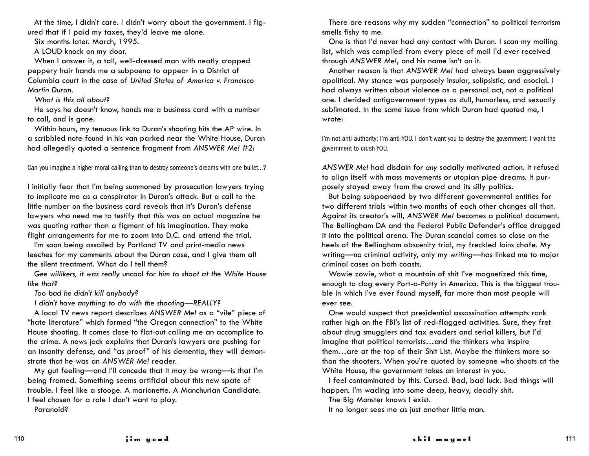At the time, I didn't care. I didn't worry about the government. I figured that if I paid my taxes, they'd leave me alone.

Six months later. March, 1995.

A LOUD knock on my door.

When I answer it, a tall, well-dressed man with neatly cropped peppery hair hands me a subpoena to appear in a District of Columbia court in the case of *United States of America v. Francisco Martin Duran.*

*What is this all about?*

He says he doesn't know, hands me a business card with a number to call, and is gone.

Within hours, my tenuous link to Duran's shooting hits the AP wire. In a scribbled note found in his van parked near the White House, Duran had allegedly quoted a sentence fragment from *ANSWER Me!* #2:

Can you imagine a higher moral calling than to destroy someone's dreams with one bullet…?

I initially fear that I'm being summoned by prosecution lawyers trying to implicate me as a conspirator in Duran's attack. But a call to the little number on the business card reveals that it's Duran's defense lawyers who need me to testify that this was an actual magazine he was quoting rather than a figment of his imagination. They make flight arrangements for me to zoom into D.C. and attend the trial.

I'm soon being assailed by Portland TV and print-media news leeches for my comments about the Duran case, and I give them all the silent treatment. What do I tell them?

*Gee willikers, it was really* uncool *for him to shoot at the White House like that?*

*Too bad he didn't kill anybody?*

*I didn't have anything to do with the shooting—REALLY?*

A local TV news report describes *ANSWER Me!* as a "vile" piece of "hate literature" which formed "the Oregon connection" to the White House shooting. It comes close to flat-out calling me an accomplice to the crime. A news jock explains that Duran's lawyers are pushing for an insanity defense, and "as proof" of his dementia, they will demonstrate that he was an *ANSWER Me!* reader.

My gut feeling—and I'll concede that it may be wrong—is that I'm being framed. Something seems artificial about this new spate of trouble. I feel like a stooge. A marionette. A Manchurian Candidate. I feel chosen for a role I don't want to play.

Paranoid?

There are reasons why my sudden "connection" to political terrorism smells fishy to me.

One is that I'd never had any contact with Duran. I scan my mailing list, which was compiled from every piece of mail I'd ever received through *ANSWER Me!*, and his name isn't on it.

Another reason is that *ANSWER Me!* had always been aggressively apolitical. My stance was purposely insular, solipsistic, and asocial. I had always written about violence as a personal act, not a political one. I derided antigovernment types as dull, humorless, and sexually sublimated. In the same issue from which Duran had quoted me, I wrote:

I'm not anti-authority; I'm anti-YOU. I don't want you to destroy the government; I want the government to crush YOU.

*ANSWER Me!* had disdain for *any* socially motivated action. It refused to align itself with mass movements or utopian pipe dreams. It purposely stayed away from the crowd and its silly politics.

But being subpoenaed by two different governmental entities for two different trials within two months of each other changes all that. Against its creator's will, *ANSWER Me!* becomes a political document. The Bellingham DA and the Federal Public Defender's office dragged it into the political arena. The Duran scandal comes so close on the heels of the Bellingham obscenity trial, my freckled loins chafe. My writing—no criminal activity, only my *writing*—has linked me to major criminal cases on both coasts.

Wowie zowie, what a mountain of shit I've magnetized this time, enough to clog every Port-a-Potty in America. This is the biggest trouble in which I've ever found myself, far more than most people will ever see.

One would suspect that presidential assassination attempts rank rather high on the FBI's list of red-flagged activities. Sure, they fret about drug smugglers and tax evaders and serial killers, but I'd imagine that political terrorists…and the thinkers who inspire them…are at the top of their Shit List. Maybe the thinkers more so than the shooters. When you're quoted by someone who shoots at the White House, the government takes an interest in you.

I feel contaminated by this. Cursed. Bad, bad luck. Bad things will happen. I'm wading into some deep, heavy, deadly shit.

The Big Monster knows I exist.

It no longer sees me as just another little man.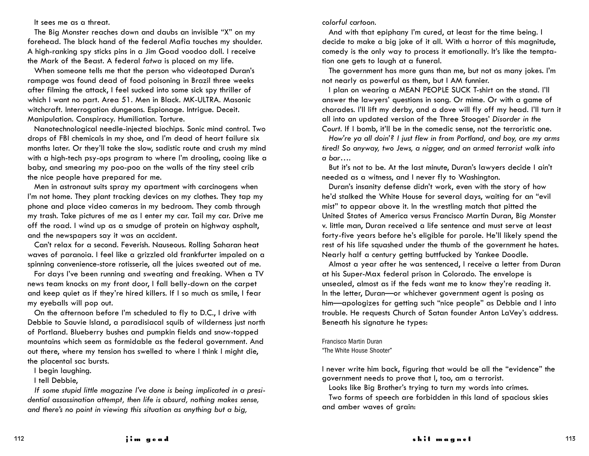It sees me as a threat.

The Big Monster reaches down and daubs an invisible "X" on my forehead. The black hand of the federal Mafia touches my shoulder. A high-ranking spy sticks pins in a Jim Goad voodoo doll. I receive the Mark of the Beast. A federal *fatwa* is placed on my life.

When someone tells me that the person who videotaped Duran's rampage was found dead of food poisoning in Brazil three weeks after filming the attack, I feel sucked into some sick spy thriller of which I want no part. Area 51. Men in Black. MK-ULTRA. Masonic witchcraft. Interrogation dungeons. Espionage. Intrigue. Deceit. Manipulation. Conspiracy. Humiliation. Torture.

Nanotechnological needle-injected biochips. Sonic mind control. Two drops of FBI chemicals in my shoe, and I'm dead of heart failure six months later. Or they'll take the slow, sadistic route and crush my mind with a high-tech psy-ops program to where I'm drooling, cooing like a baby, and smearing my poo-poo on the walls of the tiny steel crib the nice people have prepared for me.

Men in astronaut suits spray my apartment with carcinogens when I'm not home. They plant tracking devices on my clothes. They tap my phone and place video cameras in my bedroom. They comb through my trash. Take pictures of me as I enter my car. Tail my car. Drive me off the road. I wind up as a smudge of protein on highway asphalt, and the newspapers say it was an accident.

Can't relax for a second. Feverish. Nauseous. Rolling Saharan heat waves of paranoia. I feel like a grizzled old frankfurter impaled on a spinning convenience-store rotisserie, all the juices sweated out of me.

For days I've been running and sweating and freaking. When a TV news team knocks on my front door, I fall belly-down on the carpet and keep quiet as if they're hired killers. If I so much as smile, I fear my eyeballs will pop out.

On the afternoon before I'm scheduled to fly to D.C., I drive with Debbie to Sauvie Island, a paradisiacal squib of wilderness just north of Portland. Blueberry bushes and pumpkin fields and snow-topped mountains which seem as formidable as the federal government. And out there, where my tension has swelled to where I think I might die, the placental sac bursts.

I begin laughing.

I tell Debbie,

*If some stupid little magazine I've done is being implicated in a presidential assassination attempt, then life is absurd, nothing makes sense, and there's no point in viewing this situation as anything but a big,*

*colorful cartoon.*

And with that epiphany I'm cured, at least for the time being. I decide to make a big joke of it all. With a horror of this magnitude, comedy is the only way to process it emotionally. It's like the temptation one gets to laugh at a funeral.

The government has more guns than me, but not as many jokes. I'm not nearly as powerful as them, but I AM funnier.

I plan on wearing a MEAN PEOPLE SUCK T-shirt on the stand. I'll answer the lawyers' questions in song. Or mime. Or with a game of charades. I'll lift my derby, and a dove will fly off my head. I'll turn it all into an updated version of the Three Stooges' *Disorder in the Court.* If I bomb, it'll be in the comedic sense, not the terroristic one.

*How're ya all doin'? I just flew in from Portland, and boy, are my arms tired! So anyway, two Jews, a nigger, and an armed terrorist walk into a bar….*

But it's not to be. At the last minute, Duran's lawyers decide I ain't needed as a witness, and I never fly to Washington.

Duran's insanity defense didn't work, even with the story of how he'd stalked the White House for several days, waiting for an "evil mist" to appear above it. In the wrestling match that pitted the United States of America versus Francisco Martin Duran, Big Monster v. little man, Duran received a life sentence and must serve at least forty-five years before he's eligible for parole. He'll likely spend the rest of his life squashed under the thumb of the government he hates. Nearly half a century getting buttfucked by Yankee Doodle.

Almost a year after he was sentenced, I receive a letter from Duran at his Super-Max federal prison in Colorado. The envelope is unsealed, almost as if the feds want me to know they're reading it. In the letter, Duran—or whichever government agent is posing as him—apologizes for getting such "nice people" as Debbie and I into trouble. He requests Church of Satan founder Anton LaVey's address. Beneath his signature he types:

Francisco Martin Duran "The White House Shooter"

I never write him back, figuring that would be all the "evidence" the government needs to prove that I, too, am a terrorist.

Looks like Big Brother's trying to turn my words into crimes.

Two forms of speech are forbidden in this land of spacious skies and amber waves of grain: